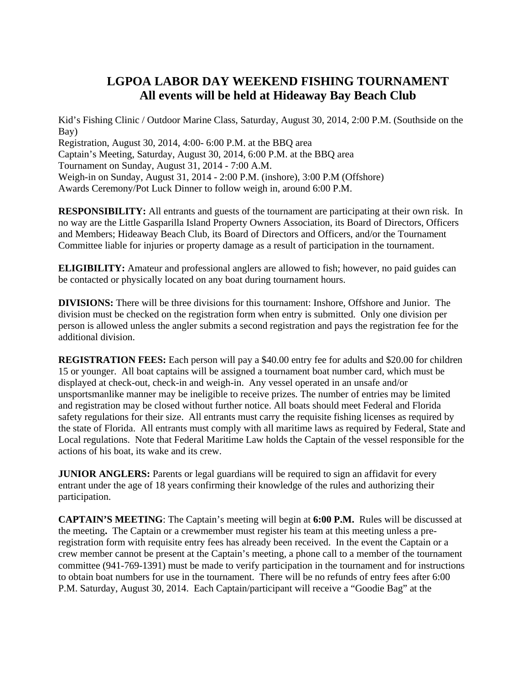## **LGPOA LABOR DAY WEEKEND FISHING TOURNAMENT All events will be held at Hideaway Bay Beach Club**

Kid's Fishing Clinic / Outdoor Marine Class, Saturday, August 30, 2014, 2:00 P.M. (Southside on the Bay) Registration, August 30, 2014, 4:00- 6:00 P.M. at the BBQ area Captain's Meeting, Saturday, August 30, 2014, 6:00 P.M. at the BBQ area Tournament on Sunday, August 31, 2014 - 7:00 A.M. Weigh-in on Sunday, August 31, 2014 - 2:00 P.M. (inshore), 3:00 P.M (Offshore) Awards Ceremony/Pot Luck Dinner to follow weigh in, around 6:00 P.M.

**RESPONSIBILITY:** All entrants and guests of the tournament are participating at their own risk. In no way are the Little Gasparilla Island Property Owners Association, its Board of Directors, Officers and Members; Hideaway Beach Club, its Board of Directors and Officers, and/or the Tournament Committee liable for injuries or property damage as a result of participation in the tournament.

**ELIGIBILITY:** Amateur and professional anglers are allowed to fish; however, no paid guides can be contacted or physically located on any boat during tournament hours.

**DIVISIONS:** There will be three divisions for this tournament: Inshore, Offshore and Junior. The division must be checked on the registration form when entry is submitted. Only one division per person is allowed unless the angler submits a second registration and pays the registration fee for the additional division.

**REGISTRATION FEES:** Each person will pay a \$40.00 entry fee for adults and \$20.00 for children 15 or younger. All boat captains will be assigned a tournament boat number card, which must be displayed at check-out, check-in and weigh-in. Any vessel operated in an unsafe and/or unsportsmanlike manner may be ineligible to receive prizes. The number of entries may be limited and registration may be closed without further notice. All boats should meet Federal and Florida safety regulations for their size. All entrants must carry the requisite fishing licenses as required by the state of Florida. All entrants must comply with all maritime laws as required by Federal, State and Local regulations. Note that Federal Maritime Law holds the Captain of the vessel responsible for the actions of his boat, its wake and its crew.

**JUNIOR ANGLERS:** Parents or legal guardians will be required to sign an affidavit for every entrant under the age of 18 years confirming their knowledge of the rules and authorizing their participation.

**CAPTAIN'S MEETING**: The Captain's meeting will begin at **6:00 P.M.** Rules will be discussed at the meeting**.** The Captain or a crewmember must register his team at this meeting unless a preregistration form with requisite entry fees has already been received. In the event the Captain or a crew member cannot be present at the Captain's meeting, a phone call to a member of the tournament committee (941-769-1391) must be made to verify participation in the tournament and for instructions to obtain boat numbers for use in the tournament. There will be no refunds of entry fees after 6:00 P.M. Saturday, August 30, 2014. Each Captain/participant will receive a "Goodie Bag" at the